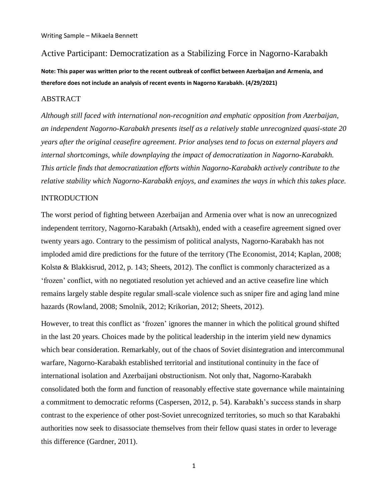# Active Participant: Democratization as a Stabilizing Force in Nagorno-Karabakh

**Note: This paper was written prior to the recent outbreak of conflict between Azerbaijan and Armenia, and therefore does not include an analysis of recent events in Nagorno Karabakh. (4/29/2021)**

#### ABSTRACT

*Although still faced with international non-recognition and emphatic opposition from Azerbaijan, an independent Nagorno-Karabakh presents itself as a relatively stable unrecognized quasi-state 20 years after the original ceasefire agreement. Prior analyses tend to focus on external players and internal shortcomings, while downplaying the impact of democratization in Nagorno-Karabakh. This article finds that democratization efforts within Nagorno-Karabakh actively contribute to the relative stability which Nagorno-Karabakh enjoys, and examines the ways in which this takes place.*

## **INTRODUCTION**

The worst period of fighting between Azerbaijan and Armenia over what is now an unrecognized independent territory, Nagorno-Karabakh (Artsakh), ended with a ceasefire agreement signed over twenty years ago. Contrary to the pessimism of political analysts, Nagorno-Karabakh has not imploded amid dire predictions for the future of the territory (The Economist, 2014; Kaplan, 2008; Kolstø & Blakkisrud, 2012, p. 143; Sheets, 2012). The conflict is commonly characterized as a "frozen" conflict, with no negotiated resolution yet achieved and an active ceasefire line which remains largely stable despite regular small-scale violence such as sniper fire and aging land mine hazards (Rowland, 2008; Smolnik, 2012; Krikorian, 2012; Sheets, 2012).

However, to treat this conflict as "frozen" ignores the manner in which the political ground shifted in the last 20 years. Choices made by the political leadership in the interim yield new dynamics which bear consideration. Remarkably, out of the chaos of Soviet disintegration and intercommunal warfare, Nagorno-Karabakh established territorial and institutional continuity in the face of international isolation and Azerbaijani obstructionism. Not only that, Nagorno-Karabakh consolidated both the form and function of reasonably effective state governance while maintaining a commitment to democratic reforms (Caspersen, 2012, p. 54). Karabakh"s success stands in sharp contrast to the experience of other post-Soviet unrecognized territories, so much so that Karabakhi authorities now seek to disassociate themselves from their fellow quasi states in order to leverage this difference (Gardner, 2011).

1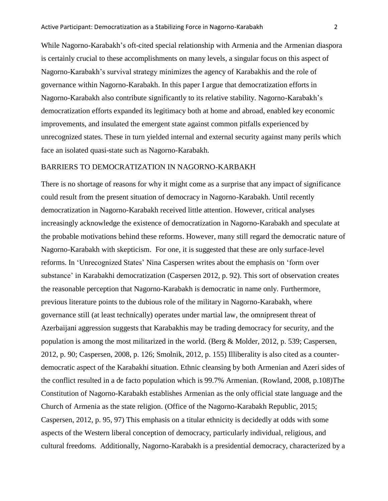While Nagorno-Karabakh"s oft-cited special relationship with Armenia and the Armenian diaspora is certainly crucial to these accomplishments on many levels, a singular focus on this aspect of Nagorno-Karabakh"s survival strategy minimizes the agency of Karabakhis and the role of governance within Nagorno-Karabakh. In this paper I argue that democratization efforts in Nagorno-Karabakh also contribute significantly to its relative stability. Nagorno-Karabakh"s democratization efforts expanded its legitimacy both at home and abroad, enabled key economic improvements, and insulated the emergent state against common pitfalls experienced by unrecognized states. These in turn yielded internal and external security against many perils which face an isolated quasi-state such as Nagorno-Karabakh.

## BARRIERS TO DEMOCRATIZATION IN NAGORNO-KARBAKH

There is no shortage of reasons for why it might come as a surprise that any impact of significance could result from the present situation of democracy in Nagorno-Karabakh. Until recently democratization in Nagorno-Karabakh received little attention. However, critical analyses increasingly acknowledge the existence of democratization in Nagorno-Karabakh and speculate at the probable motivations behind these reforms. However, many still regard the democratic nature of Nagorno-Karabakh with skepticism. For one, it is suggested that these are only surface-level reforms. In 'Unrecognized States' Nina Caspersen writes about the emphasis on 'form over substance" in Karabakhi democratization (Caspersen 2012, p. 92). This sort of observation creates the reasonable perception that Nagorno-Karabakh is democratic in name only. Furthermore, previous literature points to the dubious role of the military in Nagorno-Karabakh, where governance still (at least technically) operates under martial law, the omnipresent threat of Azerbaijani aggression suggests that Karabakhis may be trading democracy for security, and the population is among the most militarized in the world. (Berg & Molder, 2012, p. 539; Caspersen, 2012, p. 90; Caspersen, 2008, p. 126; Smolnik, 2012, p. 155) Illiberality is also cited as a counterdemocratic aspect of the Karabakhi situation. Ethnic cleansing by both Armenian and Azeri sides of the conflict resulted in a de facto population which is 99.7% Armenian. (Rowland, 2008, p.108)The Constitution of Nagorno-Karabakh establishes Armenian as the only official state language and the Church of Armenia as the state religion. (Office of the Nagorno-Karabakh Republic, 2015; Caspersen, 2012, p. 95, 97) This emphasis on a titular ethnicity is decidedly at odds with some aspects of the Western liberal conception of democracy, particularly individual, religious, and cultural freedoms. Additionally, Nagorno-Karabakh is a presidential democracy, characterized by a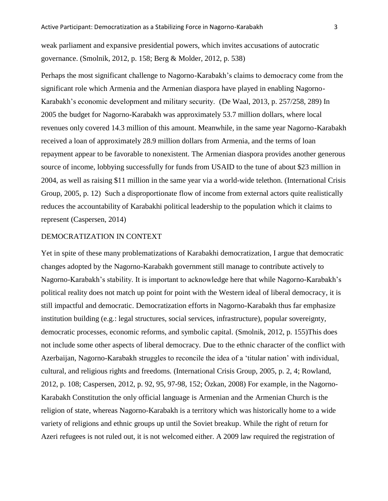weak parliament and expansive presidential powers, which invites accusations of autocratic governance. (Smolnik, 2012, p. 158; Berg & Molder, 2012, p. 538)

Perhaps the most significant challenge to Nagorno-Karabakh"s claims to democracy come from the significant role which Armenia and the Armenian diaspora have played in enabling Nagorno-Karabakh"s economic development and military security. (De Waal, 2013, p. 257/258, 289) In 2005 the budget for Nagorno-Karabakh was approximately 53.7 million dollars, where local revenues only covered 14.3 million of this amount. Meanwhile, in the same year Nagorno-Karabakh received a loan of approximately 28.9 million dollars from Armenia, and the terms of loan repayment appear to be favorable to nonexistent. The Armenian diaspora provides another generous source of income, lobbying successfully for funds from USAID to the tune of about \$23 million in 2004, as well as raising \$11 million in the same year via a world-wide telethon. (International Crisis Group, 2005, p. 12) Such a disproportionate flow of income from external actors quite realistically reduces the accountability of Karabakhi political leadership to the population which it claims to represent (Caspersen, 2014)

## DEMOCRATIZATION IN CONTEXT

Yet in spite of these many problematizations of Karabakhi democratization, I argue that democratic changes adopted by the Nagorno-Karabakh government still manage to contribute actively to Nagorno-Karabakh"s stability. It is important to acknowledge here that while Nagorno-Karabakh"s political reality does not match up point for point with the Western ideal of liberal democracy, it is still impactful and democratic. Democratization efforts in Nagorno-Karabakh thus far emphasize institution building (e.g.: legal structures, social services, infrastructure), popular sovereignty, democratic processes, economic reforms, and symbolic capital. (Smolnik, 2012, p. 155)This does not include some other aspects of liberal democracy. Due to the ethnic character of the conflict with Azerbaijan, Nagorno-Karabakh struggles to reconcile the idea of a "titular nation" with individual, cultural, and religious rights and freedoms. (International Crisis Group, 2005, p. 2, 4; Rowland, 2012, p. 108; Caspersen, 2012, p. 92, 95, 97-98, 152; Özkan, 2008) For example, in the Nagorno-Karabakh Constitution the only official language is Armenian and the Armenian Church is the religion of state, whereas Nagorno-Karabakh is a territory which was historically home to a wide variety of religions and ethnic groups up until the Soviet breakup. While the right of return for Azeri refugees is not ruled out, it is not welcomed either. A 2009 law required the registration of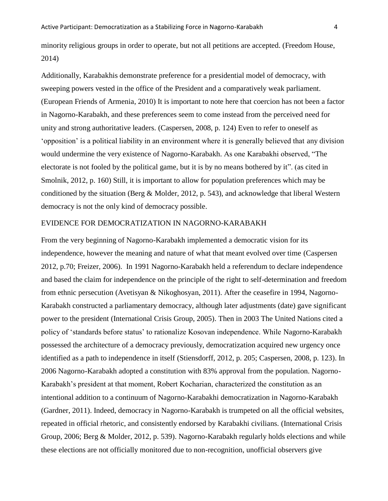minority religious groups in order to operate, but not all petitions are accepted. (Freedom House, 2014)

Additionally, Karabakhis demonstrate preference for a presidential model of democracy, with sweeping powers vested in the office of the President and a comparatively weak parliament. (European Friends of Armenia, 2010) It is important to note here that coercion has not been a factor in Nagorno-Karabakh, and these preferences seem to come instead from the perceived need for unity and strong authoritative leaders. (Caspersen, 2008, p. 124) Even to refer to oneself as """"" opposition" is a political liability in an environment where it is generally believed that any division would undermine the very existence of Nagorno-Karabakh. As one Karabakhi observed, "The electorate is not fooled by the political game, but it is by no means bothered by it". (as cited in Smolnik, 2012, p. 160) Still, it is important to allow for population preferences which may be conditioned by the situation (Berg & Molder, 2012, p. 543), and acknowledge that liberal Western democracy is not the only kind of democracy possible.

## EVIDENCE FOR DEMOCRATIZATION IN NAGORNO-KARABAKH

From the very beginning of Nagorno-Karabakh implemented a democratic vision for its independence, however the meaning and nature of what that meant evolved over time (Caspersen 2012, p.70; Freizer, 2006). In 1991 Nagorno-Karabakh held a referendum to declare independence and based the claim for independence on the principle of the right to self-determination and freedom from ethnic persecution (Avetisyan & Nikoghosyan, 2011). After the ceasefire in 1994, Nagorno-Karabakh constructed a parliamentary democracy, although later adjustments (date) gave significant power to the president (International Crisis Group, 2005). Then in 2003 The United Nations cited a policy of "standards before status" to rationalize Kosovan independence. While Nagorno-Karabakh possessed the architecture of a democracy previously, democratization acquired new urgency once identified as a path to independence in itself (Stiensdorff, 2012, p. 205; Caspersen, 2008, p. 123). In 2006 Nagorno-Karabakh adopted a constitution with 83% approval from the population. Nagorno-Karabakh"s president at that moment, Robert Kocharian, characterized the constitution as an intentional addition to a continuum of Nagorno-Karabakhi democratization in Nagorno-Karabakh (Gardner, 2011). Indeed, democracy in Nagorno-Karabakh is trumpeted on all the official websites, repeated in official rhetoric, and consistently endorsed by Karabakhi civilians. (International Crisis Group, 2006; Berg & Molder, 2012, p. 539). Nagorno-Karabakh regularly holds elections and while these elections are not officially monitored due to non-recognition, unofficial observers give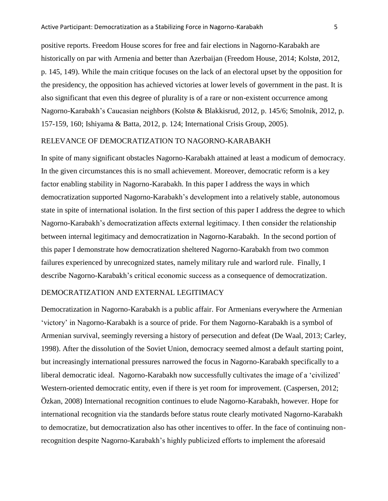positive reports. Freedom House scores for free and fair elections in Nagorno-Karabakh are historically on par with Armenia and better than Azerbaijan (Freedom House, 2014; Kolstø, 2012, p. 145, 149). While the main critique focuses on the lack of an electoral upset by the opposition for the presidency, the opposition has achieved victories at lower levels of government in the past. It is also significant that even this degree of plurality is of a rare or non-existent occurrence among Nagorno-Karabakh"s Caucasian neighbors (Kolstø & Blakkisrud, 2012, p. 145/6; Smolnik, 2012, p. 157-159, 160; Ishiyama & Batta, 2012, p. 124; International Crisis Group, 2005).

## RELEVANCE OF DEMOCRATIZATION TO NAGORNO-KARABAKH

In spite of many significant obstacles Nagorno-Karabakh attained at least a modicum of democracy. In the given circumstances this is no small achievement. Moreover, democratic reform is a key factor enabling stability in Nagorno-Karabakh. In this paper I address the ways in which democratization supported Nagorno-Karabakh"s development into a relatively stable, autonomous state in spite of international isolation. In the first section of this paper I address the degree to which Nagorno-Karabakh"s democratization affects external legitimacy. I then consider the relationship between internal legitimacy and democratization in Nagorno-Karabakh. In the second portion of this paper I demonstrate how democratization sheltered Nagorno-Karabakh from two common failures experienced by unrecognized states, namely military rule and warlord rule. Finally, I describe Nagorno-Karabakh"s critical economic success as a consequence of democratization.

## DEMOCRATIZATION AND EXTERNAL LEGITIMACY

Democratization in Nagorno-Karabakh is a public affair. For Armenians everywhere the Armenian "victory" in Nagorno-Karabakh is a source of pride. For them Nagorno-Karabakh is a symbol of Armenian survival, seemingly reversing a history of persecution and defeat (De Waal, 2013; Carley, 1998). After the dissolution of the Soviet Union, democracy seemed almost a default starting point, but increasingly international pressures narrowed the focus in Nagorno-Karabakh specifically to a liberal democratic ideal. Nagorno-Karabakh now successfully cultivates the image of a 'civilized' Western-oriented democratic entity, even if there is yet room for improvement. (Caspersen, 2012; Özkan, 2008) International recognition continues to elude Nagorno-Karabakh, however. Hope for international recognition via the standards before status route clearly motivated Nagorno-Karabakh to democratize, but democratization also has other incentives to offer. In the face of continuing nonrecognition despite Nagorno-Karabakh"s highly publicized efforts to implement the aforesaid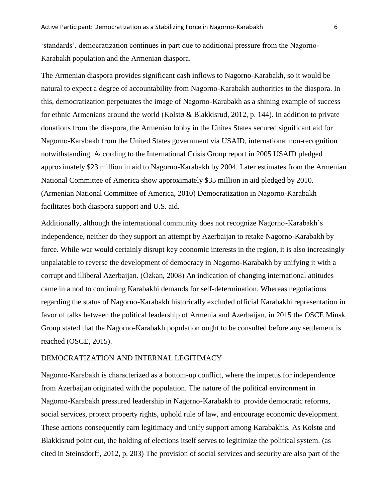"standards", democratization continues in part due to additional pressure from the Nagorno-Karabakh population and the Armenian diaspora.

The Armenian diaspora provides significant cash inflows to Nagorno-Karabakh, so it would be natural to expect a degree of accountability from Nagorno-Karabakh authorities to the diaspora. In this, democratization perpetuates the image of Nagorno-Karabakh as a shining example of success for ethnic Armenians around the world (Kolstø & Blakkisrud, 2012, p. 144). In addition to private donations from the diaspora, the Armenian lobby in the Unites States secured significant aid for Nagorno-Karabakh from the United States government via USAID, international non-recognition notwithstanding. According to the International Crisis Group report in 2005 USAID pledged approximately \$23 million in aid to Nagorno-Karabakh by 2004. Later estimates from the Armenian National Committee of America show approximately \$35 million in aid pledged by 2010. (Armenian National Committee of America, 2010) Democratization in Nagorno-Karabakh facilitates both diaspora support and U.S. aid.

Additionally, although the international community does not recognize Nagorno-Karabakh"s independence, neither do they support an attempt by Azerbaijan to retake Nagorno-Karabakh by force. While war would certainly disrupt key economic interests in the region, it is also increasingly unpalatable to reverse the development of democracy in Nagorno-Karabakh by unifying it with a corrupt and illiberal Azerbaijan. (Özkan, 2008) An indication of changing international attitudes came in a nod to continuing Karabakhi demands for self-determination. Whereas negotiations regarding the status of Nagorno-Karabakh historically excluded official Karabakhi representation in favor of talks between the political leadership of Armenia and Azerbaijan, in 2015 the OSCE Minsk Group stated that the Nagorno-Karabakh population ought to be consulted before any settlement is reached (OSCE, 2015).

## DEMOCRATIZATION AND INTERNAL LEGITIMACY

Nagorno-Karabakh is characterized as a bottom-up conflict, where the impetus for independence from Azerbaijan originated with the population. The nature of the political environment in Nagorno-Karabakh pressured leadership in Nagorno-Karabakh to provide democratic reforms, social services, protect property rights, uphold rule of law, and encourage economic development. These actions consequently earn legitimacy and unify support among Karabakhis. As Kolstø and Blakkisrud point out, the holding of elections itself serves to legitimize the political system. (as cited in Steinsdorff, 2012, p. 203) The provision of social services and security are also part of the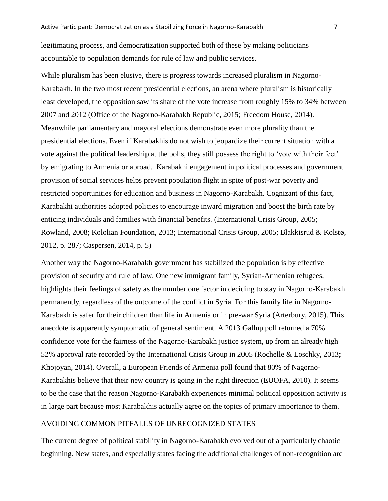legitimating process, and democratization supported both of these by making politicians accountable to population demands for rule of law and public services.

While pluralism has been elusive, there is progress towards increased pluralism in Nagorno-Karabakh. In the two most recent presidential elections, an arena where pluralism is historically least developed, the opposition saw its share of the vote increase from roughly 15% to 34% between 2007 and 2012 (Office of the Nagorno-Karabakh Republic, 2015; Freedom House, 2014). Meanwhile parliamentary and mayoral elections demonstrate even more plurality than the presidential elections. Even if Karabakhis do not wish to jeopardize their current situation with a vote against the political leadership at the polls, they still possess the right to "vote with their feet" by emigrating to Armenia or abroad. Karabakhi engagement in political processes and government provision of social services helps prevent population flight in spite of post-war poverty and restricted opportunities for education and business in Nagorno-Karabakh. Cognizant of this fact, Karabakhi authorities adopted policies to encourage inward migration and boost the birth rate by enticing individuals and families with financial benefits. (International Crisis Group, 2005; Rowland, 2008; Kololian Foundation, 2013; International Crisis Group, 2005; Blakkisrud & Kolstø, 2012, p. 287; Caspersen, 2014, p. 5)

Another way the Nagorno-Karabakh government has stabilized the population is by effective provision of security and rule of law. One new immigrant family, Syrian-Armenian refugees, highlights their feelings of safety as the number one factor in deciding to stay in Nagorno-Karabakh permanently, regardless of the outcome of the conflict in Syria. For this family life in Nagorno-Karabakh is safer for their children than life in Armenia or in pre-war Syria (Arterbury, 2015). This anecdote is apparently symptomatic of general sentiment. A 2013 Gallup poll returned a 70% confidence vote for the fairness of the Nagorno-Karabakh justice system, up from an already high 52% approval rate recorded by the International Crisis Group in 2005 (Rochelle & Loschky, 2013; Khojoyan, 2014). Overall, a European Friends of Armenia poll found that 80% of Nagorno-Karabakhis believe that their new country is going in the right direction (EUOFA, 2010). It seems to be the case that the reason Nagorno-Karabakh experiences minimal political opposition activity is in large part because most Karabakhis actually agree on the topics of primary importance to them.

## AVOIDING COMMON PITFALLS OF UNRECOGNIZED STATES

The current degree of political stability in Nagorno-Karabakh evolved out of a particularly chaotic beginning. New states, and especially states facing the additional challenges of non-recognition are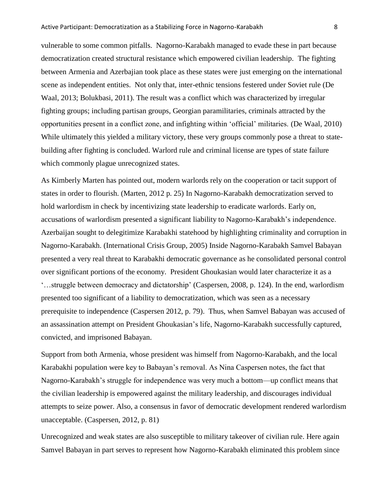vulnerable to some common pitfalls. Nagorno-Karabakh managed to evade these in part because democratization created structural resistance which empowered civilian leadership. The fighting between Armenia and Azerbajian took place as these states were just emerging on the international scene as independent entities. Not only that, inter-ethnic tensions festered under Soviet rule (De Waal, 2013; Bolukbasi, 2011). The result was a conflict which was characterized by irregular fighting groups; including partisan groups, Georgian paramilitaries, criminals attracted by the opportunities present in a conflict zone, and infighting within "official" militaries. (De Waal, 2010) While ultimately this yielded a military victory, these very groups commonly pose a threat to statebuilding after fighting is concluded. Warlord rule and criminal license are types of state failure which commonly plague unrecognized states.

As Kimberly Marten has pointed out, modern warlords rely on the cooperation or tacit support of states in order to flourish. (Marten, 2012 p. 25) In Nagorno-Karabakh democratization served to hold warlordism in check by incentivizing state leadership to eradicate warlords. Early on, accusations of warlordism presented a significant liability to Nagorno-Karabakh"s independence. Azerbaijan sought to delegitimize Karabakhi statehood by highlighting criminality and corruption in Nagorno-Karabakh. (International Crisis Group, 2005) Inside Nagorno-Karabakh Samvel Babayan presented a very real threat to Karabakhi democratic governance as he consolidated personal control over significant portions of the economy. President Ghoukasian would later characterize it as a "…struggle between democracy and dictatorship" (Caspersen, 2008, p. 124). In the end, warlordism presented too significant of a liability to democratization, which was seen as a necessary prerequisite to independence (Caspersen 2012, p. 79). Thus, when Samvel Babayan was accused of an assassination attempt on President Ghoukasian"s life, Nagorno-Karabakh successfully captured, convicted, and imprisoned Babayan.

Support from both Armenia, whose president was himself from Nagorno-Karabakh, and the local Karabakhi population were key to Babayan"s removal. As Nina Caspersen notes, the fact that Nagorno-Karabakh"s struggle for independence was very much a bottom—up conflict means that the civilian leadership is empowered against the military leadership, and discourages individual attempts to seize power. Also, a consensus in favor of democratic development rendered warlordism unacceptable. (Caspersen, 2012, p. 81)

Unrecognized and weak states are also susceptible to military takeover of civilian rule. Here again Samvel Babayan in part serves to represent how Nagorno-Karabakh eliminated this problem since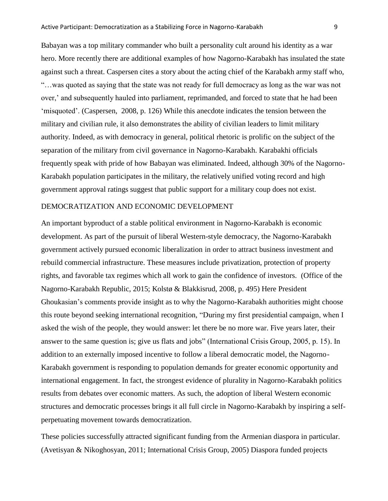Babayan was a top military commander who built a personality cult around his identity as a war hero. More recently there are additional examples of how Nagorno-Karabakh has insulated the state against such a threat. Caspersen cites a story about the acting chief of the Karabakh army staff who, "…was quoted as saying that the state was not ready for full democracy as long as the war was not over,' and subsequently hauled into parliament, reprimanded, and forced to state that he had been 'misquoted'. (Caspersen, 2008, p. 126) While this anecdote indicates the tension between the military and civilian rule, it also demonstrates the ability of civilian leaders to limit military authority. Indeed, as with democracy in general, political rhetoric is prolific on the subject of the separation of the military from civil governance in Nagorno-Karabakh. Karabakhi officials frequently speak with pride of how Babayan was eliminated. Indeed, although 30% of the Nagorno-Karabakh population participates in the military, the relatively unified voting record and high government approval ratings suggest that public support for a military coup does not exist.

#### DEMOCRATIZATION AND ECONOMIC DEVELOPMENT

An important byproduct of a stable political environment in Nagorno-Karabakh is economic development. As part of the pursuit of liberal Western-style democracy, the Nagorno-Karabakh government actively pursued economic liberalization in order to attract business investment and rebuild commercial infrastructure. These measures include privatization, protection of property rights, and favorable tax regimes which all work to gain the confidence of investors. (Office of the Nagorno-Karabakh Republic, 2015; Kolstø & Blakkisrud, 2008, p. 495) Here President Ghoukasian"s comments provide insight as to why the Nagorno-Karabakh authorities might choose this route beyond seeking international recognition, "During my first presidential campaign, when I asked the wish of the people, they would answer: let there be no more war. Five years later, their answer to the same question is; give us flats and jobs" (International Crisis Group, 2005, p. 15). In addition to an externally imposed incentive to follow a liberal democratic model, the Nagorno-Karabakh government is responding to population demands for greater economic opportunity and international engagement. In fact, the strongest evidence of plurality in Nagorno-Karabakh politics results from debates over economic matters. As such, the adoption of liberal Western economic structures and democratic processes brings it all full circle in Nagorno-Karabakh by inspiring a selfperpetuating movement towards democratization.

These policies successfully attracted significant funding from the Armenian diaspora in particular. (Avetisyan & Nikoghosyan, 2011; International Crisis Group, 2005) Diaspora funded projects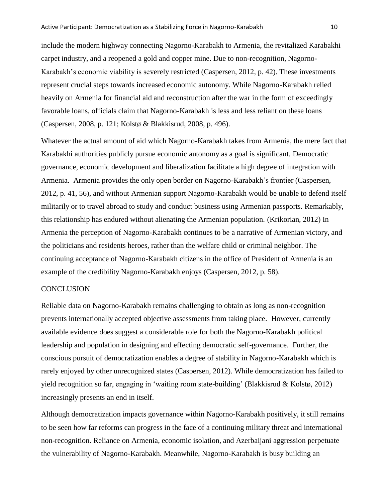include the modern highway connecting Nagorno-Karabakh to Armenia, the revitalized Karabakhi carpet industry, and a reopened a gold and copper mine. Due to non-recognition, Nagorno-Karabakh's economic viability is severely restricted (Caspersen, 2012, p. 42). These investments represent crucial steps towards increased economic autonomy. While Nagorno-Karabakh relied heavily on Armenia for financial aid and reconstruction after the war in the form of exceedingly favorable loans, officials claim that Nagorno-Karabakh is less and less reliant on these loans (Caspersen, 2008, p. 121; Kolstø & Blakkisrud, 2008, p. 496).

Whatever the actual amount of aid which Nagorno-Karabakh takes from Armenia, the mere fact that Karabakhi authorities publicly pursue economic autonomy as a goal is significant. Democratic governance, economic development and liberalization facilitate a high degree of integration with Armenia. Armenia provides the only open border on Nagorno-Karabakh"s frontier (Caspersen, 2012, p. 41, 56), and without Armenian support Nagorno-Karabakh would be unable to defend itself militarily or to travel abroad to study and conduct business using Armenian passports. Remarkably, this relationship has endured without alienating the Armenian population. (Krikorian, 2012) In Armenia the perception of Nagorno-Karabakh continues to be a narrative of Armenian victory, and the politicians and residents heroes, rather than the welfare child or criminal neighbor. The continuing acceptance of Nagorno-Karabakh citizens in the office of President of Armenia is an example of the credibility Nagorno-Karabakh enjoys (Caspersen, 2012, p. 58).

## **CONCLUSION**

Reliable data on Nagorno-Karabakh remains challenging to obtain as long as non-recognition prevents internationally accepted objective assessments from taking place. However, currently available evidence does suggest a considerable role for both the Nagorno-Karabakh political leadership and population in designing and effecting democratic self-governance. Further, the conscious pursuit of democratization enables a degree of stability in Nagorno-Karabakh which is rarely enjoyed by other unrecognized states (Caspersen, 2012). While democratization has failed to yield recognition so far, engaging in "waiting room state-building" (Blakkisrud & Kolstø, 2012) increasingly presents an end in itself.

Although democratization impacts governance within Nagorno-Karabakh positively, it still remains to be seen how far reforms can progress in the face of a continuing military threat and international non-recognition. Reliance on Armenia, economic isolation, and Azerbaijani aggression perpetuate the vulnerability of Nagorno-Karabakh. Meanwhile, Nagorno-Karabakh is busy building an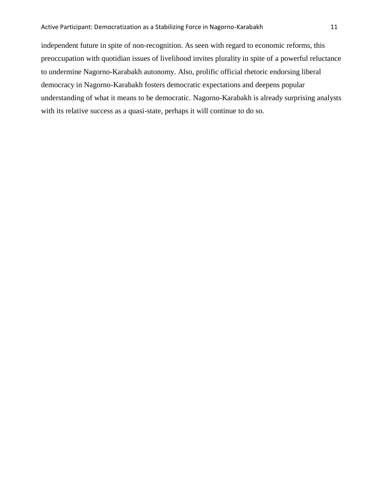independent future in spite of non-recognition. As seen with regard to economic reforms, this preoccupation with quotidian issues of livelihood invites plurality in spite of a powerful reluctance to undermine Nagorno-Karabakh autonomy. Also, prolific official rhetoric endorsing liberal democracy in Nagorno-Karabakh fosters democratic expectations and deepens popular understanding of what it means to be democratic. Nagorno-Karabakh is already surprising analysts with its relative success as a quasi-state, perhaps it will continue to do so.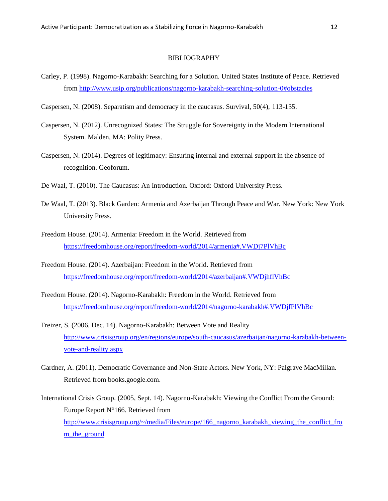#### BIBLIOGRAPHY

- Carley, P. (1998). Nagorno-Karabakh: Searching for a Solution. United States Institute of Peace. Retrieved from<http://www.usip.org/publications/nagorno-karabakh-searching-solution-0#obstacles>
- Caspersen, N. (2008). Separatism and democracy in the caucasus. Survival, 50(4), 113-135.
- Caspersen, N. (2012). Unrecognized States: The Struggle for Sovereignty in the Modern International System. Malden, MA: Polity Press.
- Caspersen, N. (2014). Degrees of legitimacy: Ensuring internal and external support in the absence of recognition. Geoforum.
- De Waal, T. (2010). The Caucasus: An Introduction. Oxford: Oxford University Press.
- De Waal, T. (2013). Black Garden: Armenia and Azerbaijan Through Peace and War. New York: New York University Press.
- Freedom House. (2014). Armenia: Freedom in the World. Retrieved from <https://freedomhouse.org/report/freedom-world/2014/armenia#.VWDj7PlVhBc>
- Freedom House. (2014). Azerbaijan: Freedom in the World. Retrieved from <https://freedomhouse.org/report/freedom-world/2014/azerbaijan#.VWDjhflVhBc>
- Freedom House. (2014). Nagorno-Karabakh: Freedom in the World. Retrieved from <https://freedomhouse.org/report/freedom-world/2014/nagorno-karabakh#.VWDjfPlVhBc>
- Freizer, S. (2006, Dec. 14). Nagorno-Karabakh: Between Vote and Reality [http://www.crisisgroup.org/en/regions/europe/south-caucasus/azerbaijan/nagorno-karabakh-between](http://www.crisisgroup.org/en/regions/europe/south-caucasus/azerbaijan/nagorno-karabakh-between-vote-and-reality.aspx)[vote-and-reality.aspx](http://www.crisisgroup.org/en/regions/europe/south-caucasus/azerbaijan/nagorno-karabakh-between-vote-and-reality.aspx)
- Gardner, A. (2011). Democratic Governance and Non-State Actors. New York, NY: Palgrave MacMillan. Retrieved from books.google.com.

International Crisis Group. (2005, Sept. 14). Nagorno-Karabakh: Viewing the Conflict From the Ground: Europe Report N°166. Retrieved from [http://www.crisisgroup.org/~/media/Files/europe/166\\_nagorno\\_karabakh\\_viewing\\_the\\_conflict\\_fro](http://www.crisisgroup.org/~/media/Files/europe/166_nagorno_karabakh_viewing_the_conflict_from_the_ground) [m\\_the\\_ground](http://www.crisisgroup.org/~/media/Files/europe/166_nagorno_karabakh_viewing_the_conflict_from_the_ground)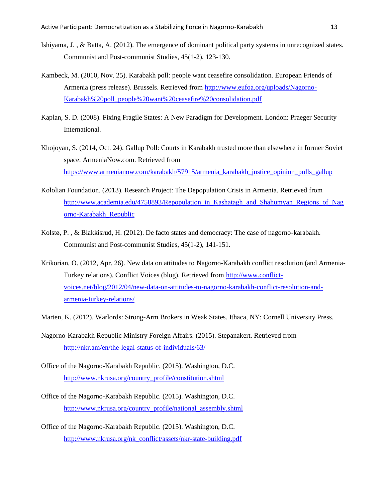- Ishiyama, J. , & Batta, A. (2012). The emergence of dominant political party systems in unrecognized states. Communist and Post-communist Studies, 45(1-2), 123-130.
- Kambeck, M. (2010, Nov. 25). Karabakh poll: people want ceasefire consolidation. European Friends of Armenia (press release). Brussels. Retrieved from [http://www.eufoa.org/uploads/Nagorno-](http://www.eufoa.org/uploads/Nagorno-Karabakh%20poll_people%20want%20ceasefire%20consolidation.pdf)[Karabakh%20poll\\_people%20want%20ceasefire%20consolidation.pdf](http://www.eufoa.org/uploads/Nagorno-Karabakh%20poll_people%20want%20ceasefire%20consolidation.pdf)
- Kaplan, S. D. (2008). Fixing Fragile States: A New Paradigm for Development. London: Praeger Security International.
- Khojoyan, S. (2014, Oct. 24). Gallup Poll: Courts in Karabakh trusted more than elsewhere in former Soviet space. ArmeniaNow.com. Retrieved from [https://www.armenianow.com/karabakh/57915/armenia\\_karabakh\\_justice\\_opinion\\_polls\\_gallup](https://www.armenianow.com/karabakh/57915/armenia_karabakh_justice_opinion_polls_gallup)
- Kololian Foundation. (2013). Research Project: The Depopulation Crisis in Armenia. Retrieved from [http://www.academia.edu/4758893/Repopulation\\_in\\_Kashatagh\\_and\\_Shahumyan\\_Regions\\_of\\_Nag](http://www.academia.edu/4758893/Repopulation_in_Kashatagh_and_Shahumyan_Regions_of_Nagorno-Karabakh_Republic) [orno-Karabakh\\_Republic](http://www.academia.edu/4758893/Repopulation_in_Kashatagh_and_Shahumyan_Regions_of_Nagorno-Karabakh_Republic)
- Kolstø, P. , & Blakkisrud, H. (2012). De facto states and democracy: The case of nagorno-karabakh. Communist and Post-communist Studies, 45(1-2), 141-151.
- Krikorian, O. (2012, Apr. 26). New data on attitudes to Nagorno-Karabakh conflict resolution (and Armenia-Turkey relations). Conflict Voices (blog). Retrieved from [http://www.conflict](http://www.conflict-voices.net/blog/2012/04/new-data-on-attitudes-to-nagorno-karabakh-conflict-resolution-and-armenia-turkey-relations/)[voices.net/blog/2012/04/new-data-on-attitudes-to-nagorno-karabakh-conflict-resolution-and](http://www.conflict-voices.net/blog/2012/04/new-data-on-attitudes-to-nagorno-karabakh-conflict-resolution-and-armenia-turkey-relations/)[armenia-turkey-relations/](http://www.conflict-voices.net/blog/2012/04/new-data-on-attitudes-to-nagorno-karabakh-conflict-resolution-and-armenia-turkey-relations/)
- Marten, K. (2012). Warlords: Strong-Arm Brokers in Weak States. Ithaca, NY: Cornell University Press.
- Nagorno-Karabakh Republic Ministry Foreign Affairs. (2015). Stepanakert. Retrieved from <http://nkr.am/en/the-legal-status-of-individuals/63/>
- Office of the Nagorno-Karabakh Republic. (2015). Washington, D.C. [http://www.nkrusa.org/country\\_profile/constitution.shtml](http://www.nkrusa.org/country_profile/constitution.shtml)
- Office of the Nagorno-Karabakh Republic. (2015). Washington, D.C. [http://www.nkrusa.org/country\\_profile/national\\_assembly.shtml](http://www.nkrusa.org/country_profile/national_assembly.shtml)
- Office of the Nagorno-Karabakh Republic. (2015). Washington, D.C. [http://www.nkrusa.org/nk\\_conflict/assets/nkr-state-building.pdf](http://www.nkrusa.org/nk_conflict/assets/nkr-state-building.pdf)